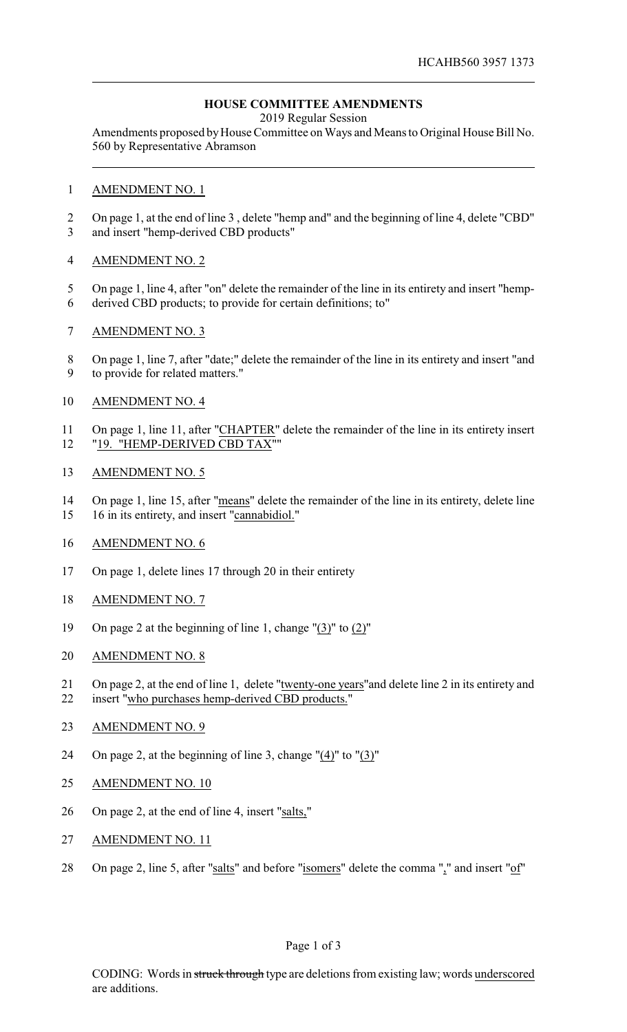# **HOUSE COMMITTEE AMENDMENTS**

2019 Regular Session

Amendments proposed by House Committee on Ways and Means to Original House Bill No. 560 by Representative Abramson

### AMENDMENT NO. 1

 On page 1, at the end of line 3 , delete "hemp and" and the beginning of line 4, delete "CBD" and insert "hemp-derived CBD products"

## AMENDMENT NO. 2

- On page 1, line 4, after "on" delete the remainder of the line in its entirety and insert "hemp-
- derived CBD products; to provide for certain definitions; to"
- AMENDMENT NO. 3
- On page 1, line 7, after "date;" delete the remainder of the line in its entirety and insert "and to provide for related matters."
- AMENDMENT NO. 4
- On page 1, line 11, after "CHAPTER" delete the remainder of the line in its entirety insert "19. "HEMP-DERIVED CBD TAX""
- AMENDMENT NO. 5
- On page 1, line 15, after "means" delete the remainder of the line in its entirety, delete line
- 16 in its entirety, and insert "cannabidiol."
- AMENDMENT NO. 6
- On page 1, delete lines 17 through 20 in their entirety
- AMENDMENT NO. 7
- On page 2 at the beginning of line 1, change "(3)" to (2)"
- AMENDMENT NO. 8
- On page 2, at the end of line 1, delete "twenty-one years"and delete line 2 in its entirety and
- insert "who purchases hemp-derived CBD products."
- AMENDMENT NO. 9
- On page 2, at the beginning of line 3, change "(4)" to "(3)"
- AMENDMENT NO. 10
- On page 2, at the end of line 4, insert "salts,"
- AMENDMENT NO. 11
- 28 On page 2, line 5, after "salts" and before "isomers" delete the comma "," and insert "of"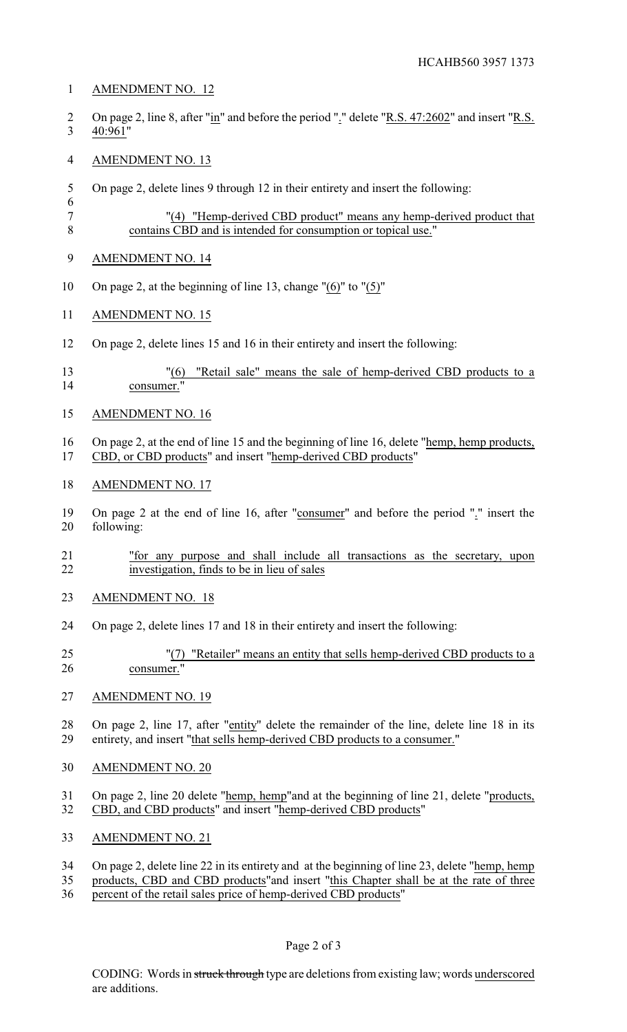### AMENDMENT NO. 12

2 On page 2, line 8, after "in" and before the period "." delete "R.S. 47:2602" and insert "R.S. 40:961"

## AMENDMENT NO. 13

On page 2, delete lines 9 through 12 in their entirety and insert the following:

```
7 "(4) "Hemp-derived CBD product" means any hemp-derived product that
8 contains CBD and is intended for consumption or topical use."
```
- AMENDMENT NO. 14
- On page 2, at the beginning of line 13, change "(6)" to "(5)"
- AMENDMENT NO. 15
- On page 2, delete lines 15 and 16 in their entirety and insert the following:
- "(6) "Retail sale" means the sale of hemp-derived CBD products to a consumer."
- AMENDMENT NO. 16
- On page 2, at the end of line 15 and the beginning of line 16, delete "hemp, hemp products, CBD, or CBD products" and insert "hemp-derived CBD products"
- AMENDMENT NO. 17
- On page 2 at the end of line 16, after "consumer" and before the period "." insert the following:
- "for any purpose and shall include all transactions as the secretary, upon investigation, finds to be in lieu of sales
- AMENDMENT NO. 18
- On page 2, delete lines 17 and 18 in their entirety and insert the following:
- "(7) "Retailer" means an entity that sells hemp-derived CBD products to a consumer."
- AMENDMENT NO. 19
- On page 2, line 17, after "entity" delete the remainder of the line, delete line 18 in its entirety, and insert "that sells hemp-derived CBD products to a consumer."
- AMENDMENT NO. 20
- On page 2, line 20 delete "hemp, hemp"and at the beginning of line 21, delete "products, CBD, and CBD products" and insert "hemp-derived CBD products"
- AMENDMENT NO. 21
- On page 2, delete line 22 in its entirety and at the beginning of line 23, delete "hemp, hemp
- products, CBD and CBD products"and insert "this Chapter shall be at the rate of three
- percent of the retail sales price of hemp-derived CBD products"